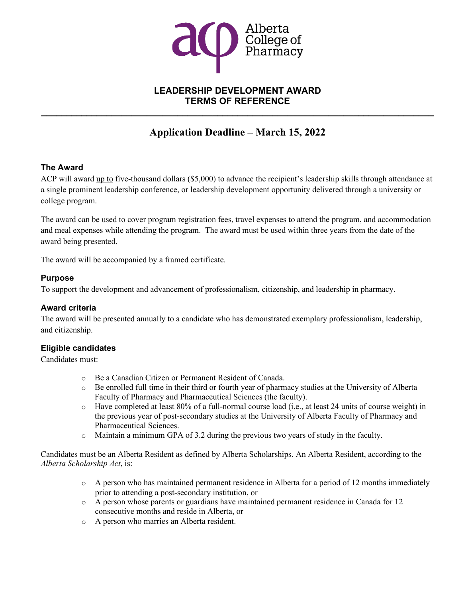

# **LEADERSHIP DEVELOPMENT AWARD TERMS OF REFERENCE**

**\_\_\_\_\_\_\_\_\_\_\_\_\_\_\_\_\_\_\_\_\_\_\_\_\_\_\_\_\_\_\_\_\_\_\_\_\_\_\_\_\_\_\_\_\_\_\_\_\_\_\_\_\_\_\_\_\_\_\_\_\_\_\_\_\_\_\_\_\_\_\_\_\_\_\_\_\_\_**

# **Application Deadline – March 15, 2022**

# **The Award**

ACP will award up to five-thousand dollars (\$5,000) to advance the recipient's leadership skills through attendance at a single prominent leadership conference, or leadership development opportunity delivered through a university or college program.

The award can be used to cover program registration fees, travel expenses to attend the program, and accommodation and meal expenses while attending the program. The award must be used within three years from the date of the award being presented.

The award will be accompanied by a framed certificate.

### **Purpose**

To support the development and advancement of professionalism, citizenship, and leadership in pharmacy.

### **Award criteria**

The award will be presented annually to a candidate who has demonstrated exemplary professionalism, leadership, and citizenship.

### **Eligible candidates**

Candidates must:

- o Be a Canadian Citizen or Permanent Resident of Canada.
- o Be enrolled full time in their third or fourth year of pharmacy studies at the University of Alberta Faculty of Pharmacy and Pharmaceutical Sciences (the faculty).
- o Have completed at least 80% of a full-normal course load (i.e., at least 24 units of course weight) in the previous year of post-secondary studies at the University of Alberta Faculty of Pharmacy and Pharmaceutical Sciences.
- o Maintain a minimum GPA of 3.2 during the previous two years of study in the faculty.

Candidates must be an Alberta Resident as defined by Alberta Scholarships. An Alberta Resident, according to the *Alberta Scholarship Act*, is:

- $\circ$  A person who has maintained permanent residence in Alberta for a period of 12 months immediately prior to attending a post-secondary institution, or
- o A person whose parents or guardians have maintained permanent residence in Canada for 12 consecutive months and reside in Alberta, or
- o A person who marries an Alberta resident.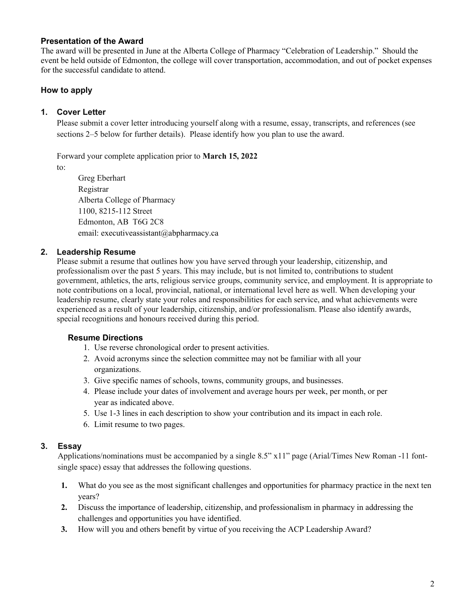## **Presentation of the Award**

The award will be presented in June at the Alberta College of Pharmacy "Celebration of Leadership." Should the event be held outside of Edmonton, the college will cover transportation, accommodation, and out of pocket expenses for the successful candidate to attend.

# **How to apply**

## **1. Cover Letter**

Please submit a cover letter introducing yourself along with a resume, essay, transcripts, and references (see sections 2–5 below for further details). Please identify how you plan to use the award.

Forward your complete application prior to **March 15, 2022** to:

Greg Eberhart Registrar Alberta College of Pharmacy 1100, 8215-112 Street Edmonton, AB T6G 2C8 email: executiveassistant@abpharmacy.ca

### **2. Leadership Resume**

Please submit a resume that outlines how you have served through your leadership, citizenship, and professionalism over the past 5 years. This may include, but is not limited to, contributions to student government, athletics, the arts, religious service groups, community service, and employment. It is appropriate to note contributions on a local, provincial, national, or international level here as well. When developing your leadership resume, clearly state your roles and responsibilities for each service, and what achievements were experienced as a result of your leadership, citizenship, and/or professionalism. Please also identify awards, special recognitions and honours received during this period.

### **Resume Directions**

- 1. Use reverse chronological order to present activities.
- 2. Avoid acronyms since the selection committee may not be familiar with all your organizations.
- 3. Give specific names of schools, towns, community groups, and businesses.
- 4. Please include your dates of involvement and average hours per week, per month, or per year as indicated above.
- 5. Use 1-3 lines in each description to show your contribution and its impact in each role.
- 6. Limit resume to two pages.

### **3. Essay**

Applications/nominations must be accompanied by a single 8.5" x11" page (Arial/Times New Roman -11 fontsingle space) essay that addresses the following questions.

- **1.** What do you see as the most significant challenges and opportunities for pharmacy practice in the next ten years?
- **2.** Discuss the importance of leadership, citizenship, and professionalism in pharmacy in addressing the challenges and opportunities you have identified.
- **3.** How will you and others benefit by virtue of you receiving the ACP Leadership Award?